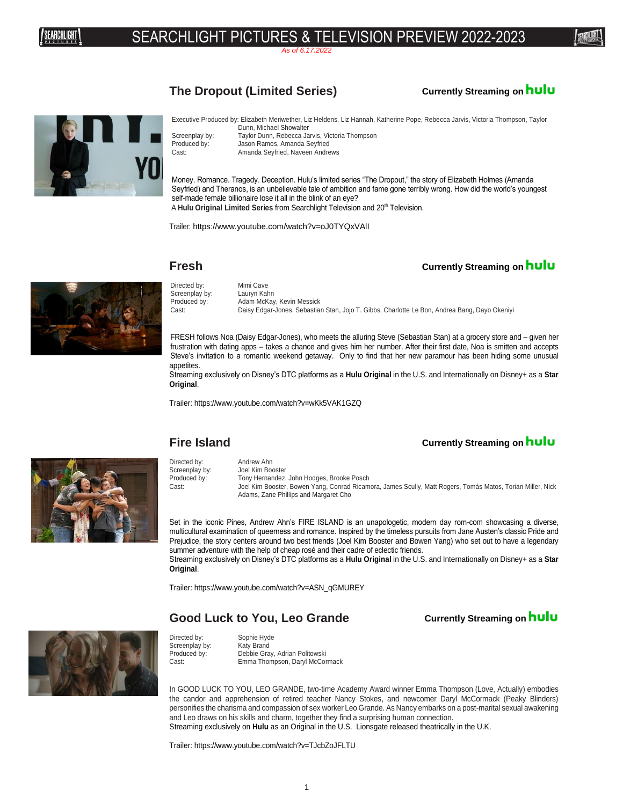# <sup>卿卿卿</sup>! SEARCHLIGHT PICTURES & TELEVISION PREVIEW 2022-2023

*As of 6.17.2022*

### **The Dropout (Limited Series) Currently Streaming on**



Executive Produced by: Elizabeth Meriwether, Liz Heldens, Liz Hannah, Katherine Pope, Rebecca Jarvis, Victoria Thompson, Taylor Dunn, Michael Showalter Screenplay by: Taylor Dunn, Rebecca Jarvis, Victoria Thompson<br>Produced by: Jason Ramos. Amanda Sevfried Jason Ramos, Amanda Seyfried

Cast: Amanda Seyfried, Naveen Andrews

Money. Romance. Tragedy. Deception. Hulu's limited series "The Dropout," the story of Elizabeth Holmes (Amanda Seyfried) and Theranos, is an unbelievable tale of ambition and fame gone terribly wrong. How did the world's youngest self-made female billionaire lose it all in the blink of an eye? A Hulu Original Limited Series from Searchlight Television and 20<sup>th</sup> Television.

Trailer: <https://www.youtube.com/watch?v=oJ0TYQxVAlI>

Screenplay by:<br>Produced by:

### **Fresh Currently Streaming on <b>hulu**



Directed by: Mimi Cave<br>Screenplay by: Lauryn Kahn Adam McKay, Kevin Messick Cast: Daisy Edgar-Jones, Sebastian Stan, Jojo T. Gibbs, Charlotte Le Bon, Andrea Bang, Dayo Okeniyi

FRESH follows Noa (Daisy Edgar-Jones), who meets the alluring Steve (Sebastian Stan) at a grocery store and – given her frustration with dating apps – takes a chance and gives him her number. After their first date, Noa is smitten and accepts Steve's invitation to a romantic weekend getaway. Only to find that her new paramour has been hiding some unusual appetites.

Streaming exclusively on Disney's DTC platforms as a **Hulu Original** in the U.S. and Internationally on Disney+ as a **Star Original**.

Trailer: https://www.youtube.com/watch?v=wKk5VAK1GZQ

### **Fire Island Currently Streaming on <b>hulu**

Screenplay by:

### Directed by: Andrew Ahn Screenplay by: Joel Kim Booster Produced by: Tony Hernandez, John Hodges, Brooke Posch<br>Cast: Loel Kim Booster, Bowen Yang, Conrad Ricam Joel Kim Booster, Bowen Yang, Conrad Ricamora, James Scully, Matt Rogers, Tomás Matos, Torian Miller, Nick Adams, Zane Phillips and Margaret Cho

Set in the iconic Pines, Andrew Ahn's FIRE ISLAND is an unapologetic, modern day rom-com showcasing a diverse, multicultural examination of queerness and romance. Inspired by the timeless pursuits from Jane Austen's classic Pride and Prejudice, the story centers around two best friends (Joel Kim Booster and Bowen Yang) who set out to have a legendary summer adventure with the help of cheap rosé and their cadre of eclectic friends.

Streaming exclusively on Disney's DTC platforms as a **Hulu Original** in the U.S. and Internationally on Disney+ as a **Star Original**.

Trailer: https://www.youtube.com/watch?v=ASN\_qGMUREY

### Good Luck to You, Leo Grande **Currently Streaming on hulu**



Directed by: Sophie Hyde<br>Screenplay by: Katy Brand Produced by: Debbie Gray, Adrian Politowski Cast: Emma Thompson, Daryl McCormack

In GOOD LUCK TO YOU, LEO GRANDE, two-time Academy Award winner Emma Thompson (Love, Actually) embodies the candor and apprehension of retired teacher Nancy Stokes, and newcomer Daryl McCormack (Peaky Blinders) personifies the charisma and compassion of sex worker Leo Grande. As Nancy embarks on a post-marital sexual awakening and Leo draws on his skills and charm, together they find a surprising human connection. Streaming exclusively on **Hulu** as an Original in the U.S. Lionsgate released theatrically in the U.K.

Trailer: https://www.youtube.com/watch?v=TJcbZoJFLTU

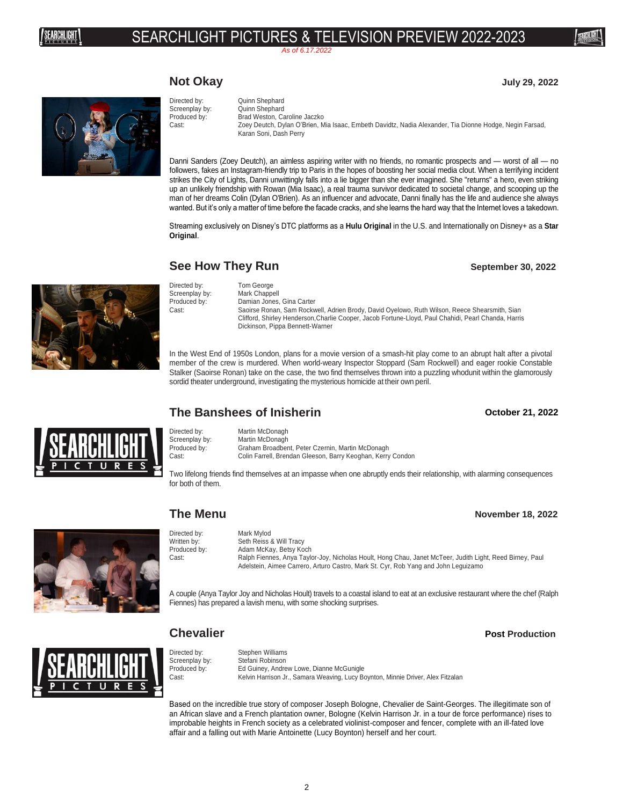# <sup>卿卿卿</sup>! SEARCHLIGHT PICTURES & TELEVISION PREVIEW 2022-2023

*As of 6.17.2022*

### **Not Okay July 29, 2022**



Directed by: Quinn Shephard Screenplay by: Quinn Shephard Produced by: Brad Weston, Caroline Jaczko Cast: Zoey Deutch, Dylan O'Brien, Mia Isaac, Embeth Davidtz, Nadia Alexander, Tia Dionne Hodge, Negin Farsad, Karan Soni, Dash Perry

Danni Sanders (Zoey Deutch), an aimless aspiring writer with no friends, no romantic prospects and — worst of all — no followers, fakes an Instagram-friendly trip to Paris in the hopes of boosting her social media clout. When a terrifying incident strikes the City of Lights, Danni unwittingly falls into a lie bigger than she ever imagined. She "returns" a hero, even striking up an unlikely friendship with Rowan (Mia Isaac), a real trauma survivor dedicated to societal change, and scooping up the man of her dreams Colin (Dylan O'Brien). As an influencer and advocate, Danni finally has the life and audience she always wanted. But it's only a matter of time before the facade cracks, and she learns the hard way that the Internet loves a takedown.

Streaming exclusively on Disney's DTC platforms as a **Hulu Original** in the U.S. and Internationally on Disney+ as a **Star Original**.

### **See How They Run September 30, 2022**



Directed by:<br>
Screenplay by: Mark Chappell Screenplay by:<br>Produced by:

Damian Jones, Gina Carter Cast: Saoirse Ronan, Sam Rockwell, Adrien Brody, David Oyelowo, Ruth Wilson, Reece Shearsmith, Sian Clifford, Shirley Henderson,Charlie Cooper, Jacob Fortune-Lloyd, Paul Chahidi, Pearl Chanda, Harris Dickinson, Pippa Bennett-Warner

In the West End of 1950s London, plans for a movie version of a smash-hit play come to an abrupt halt after a pivotal member of the crew is murdered. When world-weary Inspector Stoppard (Sam Rockwell) and eager rookie Constable Stalker (Saoirse Ronan) take on the case, the two find themselves thrown into a puzzling whodunit within the glamorously sordid theater underground, investigating the mysterious homicide at their own peril.

### **The Banshees of Inisherin October 21, 2022**

Directed by: Martin McDonagh Screenplay by: Martin McDonagh<br>Produced by: Graham Broadber

Two lifelong friends find themselves at an impasse when one abruptly ends their relationship, with alarming consequences for both of them.



**The Menu November 18, 2022**

Directed by: Mark Mylod Written by: Seth Reiss & Will Tracy<br>Produced by: Adam McKay, Betsy Ko Produced by: Adam McKay, Betsy Koch<br>Cast: Ralph Fiennes, Anya Tayle Ralph Fiennes, Anya Taylor-Joy, Nicholas Hoult, Hong Chau, Janet McTeer, Judith Light, Reed Birney, Paul Adelstein, Aimee Carrero, Arturo Castro, Mark St. Cyr, Rob Yang and John Leguizamo

A couple (Anya Taylor Joy and Nicholas Hoult) travels to a coastal island to eat at an exclusive restaurant where the chef (Ralph Fiennes) has prepared a lavish menu, with some shocking surprises.

Directed by: Stephen Williams<br>Screenplay by: Stefani Robinson Screenplay by:<br>
Produced by:<br>
Fed Guiney, Andre Produced by: Ed Guiney, Andrew Lowe, Dianne McGunigle<br>Cast: Cast: Kelvin Harrison Jr., Samara Weaving, Lucy B Kelvin Harrison Jr., Samara Weaving, Lucy Boynton, Minnie Driver, Alex Fitzalan

Based on the incredible true story of composer Joseph Bologne, Chevalier de Saint-Georges. The illegitimate son of an African slave and a French plantation owner, Bologne (Kelvin Harrison Jr. in a tour de force performance) rises to improbable heights in French society as a celebrated violinist-composer and fencer, complete with an ill-fated love affair and a falling out with Marie Antoinette (Lucy Boynton) herself and her court.

### Graham Broadbent, Peter Czernin, Martin McDonagh Cast: Colin Farrell, Brendan Gleeson, Barry Keoghan, Kerry Condon

**Chevalier** *Post* **Post Production**